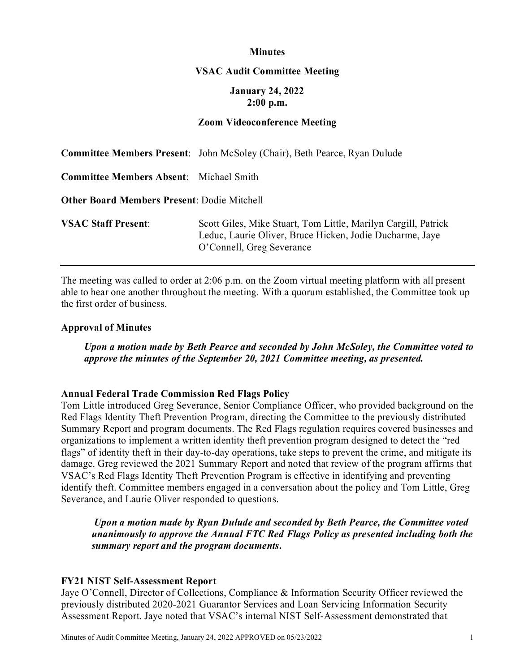## **Minutes**

#### **VSAC Audit Committee Meeting**

## **January 24, 2022 2:00 p.m.**

## **Zoom Videoconference Meeting**

|                                                    | <b>Committee Members Present:</b> John McSoley (Chair), Beth Pearce, Ryan Dulude                                                                        |
|----------------------------------------------------|---------------------------------------------------------------------------------------------------------------------------------------------------------|
| <b>Committee Members Absent:</b> Michael Smith     |                                                                                                                                                         |
| <b>Other Board Members Present: Dodie Mitchell</b> |                                                                                                                                                         |
| <b>VSAC Staff Present:</b>                         | Scott Giles, Mike Stuart, Tom Little, Marilyn Cargill, Patrick<br>Leduc, Laurie Oliver, Bruce Hicken, Jodie Ducharme, Jaye<br>O'Connell, Greg Severance |

The meeting was called to order at 2:06 p.m. on the Zoom virtual meeting platform with all present able to hear one another throughout the meeting. With a quorum established, the Committee took up the first order of business.

#### **Approval of Minutes**

*Upon a motion made by Beth Pearce and seconded by John McSoley, the Committee voted to approve the minutes of the September 20, 2021 Committee meeting, as presented.*

## **Annual Federal Trade Commission Red Flags Policy**

Tom Little introduced Greg Severance, Senior Compliance Officer, who provided background on the Red Flags Identity Theft Prevention Program, directing the Committee to the previously distributed Summary Report and program documents. The Red Flags regulation requires covered businesses and organizations to implement a written identity theft prevention program designed to detect the "red flags" of identity theft in their day-to-day operations, take steps to prevent the crime, and mitigate its damage. Greg reviewed the 2021 Summary Report and noted that review of the program affirms that VSAC's Red Flags Identity Theft Prevention Program is effective in identifying and preventing identify theft. Committee members engaged in a conversation about the policy and Tom Little, Greg Severance, and Laurie Oliver responded to questions.

*Upon a motion made by Ryan Dulude and seconded by Beth Pearce, the Committee voted unanimously to approve the Annual FTC Red Flags Policy as presented including both the summary report and the program documents***.**

#### **FY21 NIST Self-Assessment Report**

Jaye O'Connell, Director of Collections, Compliance & Information Security Officer reviewed the previously distributed 2020-2021 Guarantor Services and Loan Servicing Information Security Assessment Report. Jaye noted that VSAC's internal NIST Self-Assessment demonstrated that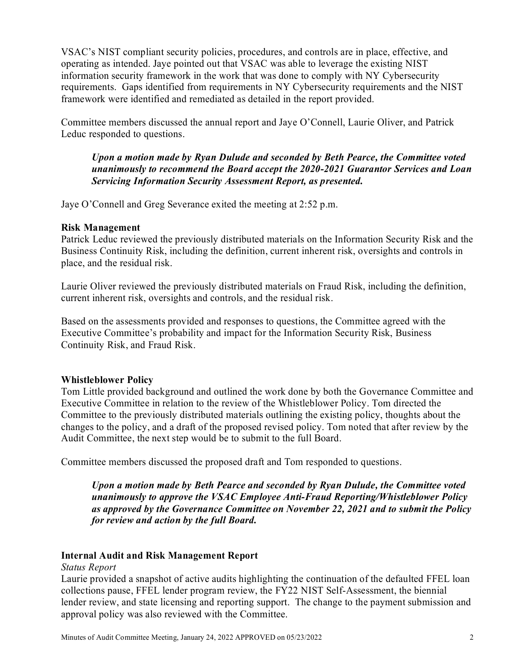VSAC's NIST compliant security policies, procedures, and controls are in place, effective, and operating as intended. Jaye pointed out that VSAC was able to leverage the existing NIST information security framework in the work that was done to comply with NY Cybersecurity requirements. Gaps identified from requirements in NY Cybersecurity requirements and the NIST framework were identified and remediated as detailed in the report provided.

Committee members discussed the annual report and Jaye O'Connell, Laurie Oliver, and Patrick Leduc responded to questions.

# *Upon a motion made by Ryan Dulude and seconded by Beth Pearce, the Committee voted unanimously to recommend the Board accept the 2020-2021 Guarantor Services and Loan Servicing Information Security Assessment Report, as presented.*

Jaye O'Connell and Greg Severance exited the meeting at 2:52 p.m.

## **Risk Management**

Patrick Leduc reviewed the previously distributed materials on the Information Security Risk and the Business Continuity Risk, including the definition, current inherent risk, oversights and controls in place, and the residual risk.

Laurie Oliver reviewed the previously distributed materials on Fraud Risk, including the definition, current inherent risk, oversights and controls, and the residual risk.

Based on the assessments provided and responses to questions, the Committee agreed with the Executive Committee's probability and impact for the Information Security Risk, Business Continuity Risk, and Fraud Risk.

# **Whistleblower Policy**

Tom Little provided background and outlined the work done by both the Governance Committee and Executive Committee in relation to the review of the Whistleblower Policy. Tom directed the Committee to the previously distributed materials outlining the existing policy, thoughts about the changes to the policy, and a draft of the proposed revised policy. Tom noted that after review by the Audit Committee, the next step would be to submit to the full Board.

Committee members discussed the proposed draft and Tom responded to questions.

*Upon a motion made by Beth Pearce and seconded by Ryan Dulude, the Committee voted unanimously to approve the VSAC Employee Anti-Fraud Reporting/Whistleblower Policy as approved by the Governance Committee on November 22, 2021 and to submit the Policy for review and action by the full Board.*

# **Internal Audit and Risk Management Report**

*Status Report*

Laurie provided a snapshot of active audits highlighting the continuation of the defaulted FFEL loan collections pause, FFEL lender program review, the FY22 NIST Self-Assessment, the biennial lender review, and state licensing and reporting support. The change to the payment submission and approval policy was also reviewed with the Committee.